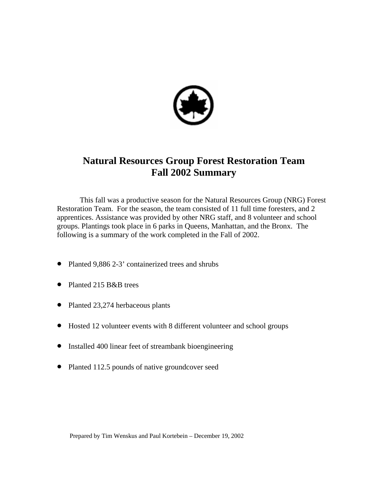

# **Natural Resources Group Forest Restoration Team Fall 2002 Summary**

This fall was a productive season for the Natural Resources Group (NRG) Forest Restoration Team. For the season, the team consisted of 11 full time foresters, and 2 apprentices. Assistance was provided by other NRG staff, and 8 volunteer and school groups. Plantings took place in 6 parks in Queens, Manhattan, and the Bronx. The following is a summary of the work completed in the Fall of 2002.

- Planted 9,886 2-3' containerized trees and shrubs
- Planted 215 B&B trees
- Planted 23,274 herbaceous plants
- Hosted 12 volunteer events with 8 different volunteer and school groups
- Installed 400 linear feet of streambank bioengineering
- Planted 112.5 pounds of native groundcover seed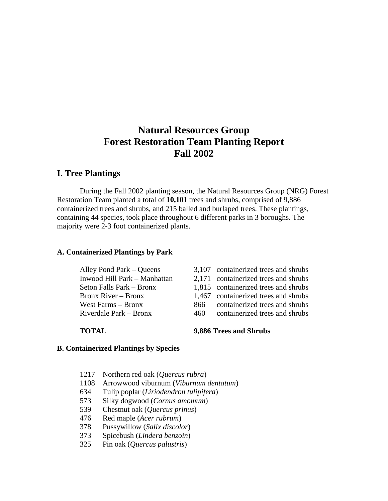# **Natural Resources Group Forest Restoration Team Planting Report Fall 2002**

# **I. Tree Plantings**

During the Fall 2002 planting season, the Natural Resources Group (NRG) Forest Restoration Team planted a total of **10,101** trees and shrubs, comprised of 9,886 containerized trees and shrubs, and 215 balled and burlaped trees. These plantings, containing 44 species, took place throughout 6 different parks in 3 boroughs. The majority were 2-3 foot containerized plants.

#### **A. Containerized Plantings by Park**

| 3,107 containerized trees and shrubs |
|--------------------------------------|
| 2,171 containerized trees and shrubs |
| 1,815 containerized trees and shrubs |
| 1,467 containerized trees and shrubs |
| containerized trees and shrubs       |
| containerized trees and shrubs       |
|                                      |

### **TOTAL 9,886 Trees and Shrubs**

### **B. Containerized Plantings by Species**

- 1217 Northern red oak (*Quercus rubra*)
- 1108 Arrowwood viburnum (*Viburnum dentatum*)
- 634 Tulip poplar (*Liriodendron tulipifera*)
- 573 Silky dogwood (*Cornus amomum*)
- 539 Chestnut oak (*Quercus prinus*)
- 476 Red maple (*Acer rubrum*)
- 378 Pussywillow (*Salix discolor*)
- 373 Spicebush (*Lindera benzoin*)
- 325 Pin oak (*Quercus palustris*)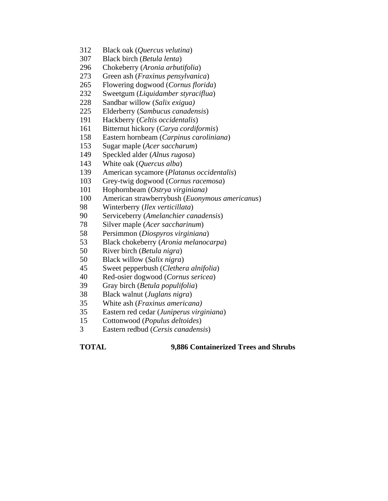- 312 Black oak (*Quercus velutina*)
- 307 Black birch (*Betula lenta*)
- 296 Chokeberry (*Aronia arbutifolia*)
- 273 Green ash (*Fraxinus pensylvanica*)
- 265 Flowering dogwood (*Cornus florida*)
- 232 Sweetgum (*Liquidamber styraciflua*)
- 228 Sandbar willow (*Salix exigua)*
- 225 Elderberry (*Sambucus canadensis*)
- 191 Hackberry (*Celtis occidentalis*)
- 161 Bitternut hickory (*Carya cordiformis*)
- 158 Eastern hornbeam (*Carpinus caroliniana*)
- 153 Sugar maple (*Acer saccharum*)
- 149 Speckled alder (*Alnus rugosa*)
- 143 White oak (*Quercus alba*)
- 139 American sycamore (*Platanus occidentalis*)
- 103 Grey-twig dogwood (*Cornus racemosa*)
- 101 Hophornbeam (*Ostrya virginiana)*
- 100 American strawberrybush (*Euonymous americanus*)
- 98 Winterberry (*Ilex verticillata*)
- 90 Serviceberry (*Amelanchier canadensis*)
- 78 Silver maple (*Acer saccharinum*)
- 58 Persimmon (*Diospyros virginiana*)
- 53 Black chokeberry (*Aronia melanocarpa*)
- 50 River birch (*Betula nigra*)
- 50 Black willow (*Salix nigra*)
- 45 Sweet pepperbush (*Clethera alnifolia*)
- 40 Red-osier dogwood (*Cornus sericea*)
- 39 Gray birch (*Betula populifolia*)
- 38 Black walnut (*Juglans nigra*)
- 35 White ash (*Fraxinus americana)*
- 35 Eastern red cedar (*Juniperus virginiana*)
- 15 Cottonwood (*Populus deltoides*)
- 3 Eastern redbud (*Cersis canadensis*)

**TOTAL 9,886 Containerized Trees and Shrubs**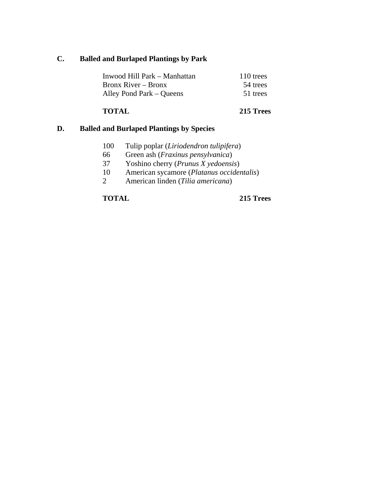# **C. Balled and Burlaped Plantings by Park**

| Inwood Hill Park – Manhattan | 110 trees |
|------------------------------|-----------|
| Bronx River – Bronx          | 54 trees  |
| Alley Pond Park – Queens     | 51 trees  |

# **TOTAL 215 Trees**

# **D. Balled and Burlaped Plantings by Species**

- 100 Tulip poplar (*Liriodendron tulipifera*)
- 66 Green ash (*Fraxinus pensylvanica*)
- 37 Yoshino cherry (*Prunus X yedoensis*)
- 10 American sycamore (*Platanus occidentalis*)
- 2 American linden (*Tilia americana*)

# **TOTAL 215 Trees**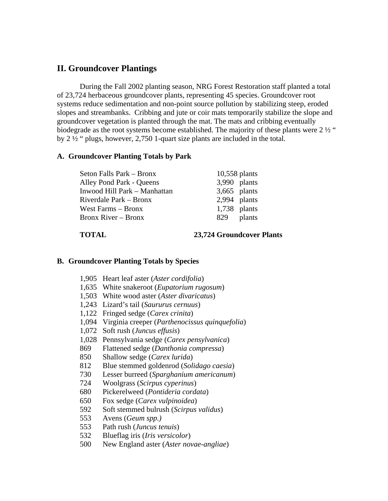# **II. Groundcover Plantings**

 During the Fall 2002 planting season, NRG Forest Restoration staff planted a total of 23,724 herbaceous groundcover plants, representing 45 species. Groundcover root systems reduce sedimentation and non-point source pollution by stabilizing steep, eroded slopes and streambanks. Cribbing and jute or coir mats temporarily stabilize the slope and groundcover vegetation is planted through the mat. The mats and cribbing eventually biodegrade as the root systems become established. The majority of these plants were  $2\frac{1}{2}$  " by 2 ½ " plugs, however, 2,750 1-quart size plants are included in the total.

# **A. Groundcover Planting Totals by Park**

| Seton Falls Park – Bronx     | 10,558 plants  |
|------------------------------|----------------|
| Alley Pond Park - Queens     | 3,990 plants   |
| Inwood Hill Park - Manhattan | $3,665$ plants |
| Riverdale Park – Bronx       | $2,994$ plants |
| West Farms – Bronx           | $1,738$ plants |
| <b>Bronx River – Bronx</b>   | plants<br>829  |

**TOTAL 23,724 Groundcover Plants** 

#### **B. Groundcover Planting Totals by Species**

- 1,905 Heart leaf aster (*Aster cordifolia*)
- 1,635 White snakeroot (*Eupatorium rugosum*)
- 1,503 White wood aster (*Aster divaricatus*)
- 1,243 Lizard's tail (*Saururus cernuus*)
- 1,122 Fringed sedge (*Carex crinita*)
- 1,094 Virginia creeper (*Parthenocissus quinquefolia*)
- 1,072 Soft rush (*Juncus effusis*)
- 1,028 Pennsylvania sedge (*Carex pensylvanica*)
- 869 Flattened sedge (*Danthonia compressa*)
- 850 Shallow sedge (*Carex lurida*)
- 812 Blue stemmed goldenrod (*Solidago caesia*)
- 730 Lesser burreed (*Sparghanium americanum*)
- 724 Woolgrass (*Scirpus cyperinus*)
- 680 Pickerelweed (*Pontideria cordata*)
- 650 Fox sedge (*Carex vulpinoidea*)
- 592 Soft stemmed bulrush (*Scirpus validus*)
- 553 Avens (*Geum spp.)*
- 553 Path rush (*Juncus tenuis*)
- 532 Blueflag iris (*Iris versicolor*)
- 500 New England aster (*Aster novae-angliae*)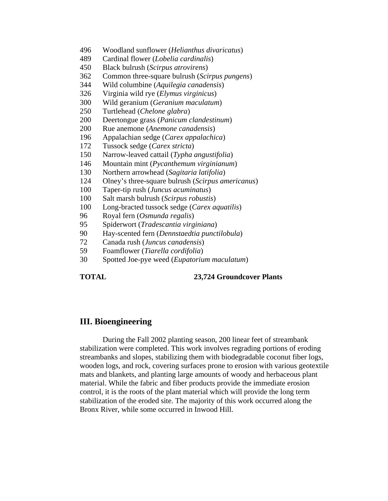- 496 Woodland sunflower (*Helianthus divaricatus*)
- 489 Cardinal flower (*Lobelia cardinalis*)
- 450 Black bulrush (*Scirpus atrovirens*)
- 362 Common three-square bulrush (*Scirpus pungens*)
- 344 Wild columbine (*Aquilegia canadensis*)
- 326 Virginia wild rye (*Elymus virginicus*)
- 300 Wild geranium (*Geranium maculatum*)
- 250 Turtlehead (*Chelone glabra*)
- 200 Deertongue grass (*Panicum clandestinum*)
- 200 Rue anemone (*Anemone canadensis*)
- 196 Appalachian sedge (*Carex appalachica*)
- 172 Tussock sedge (*Carex stricta*)
- 150 Narrow-leaved cattail (*Typha angustifolia*)
- 146 Mountain mint (*Pycanthemum virginianum*)
- 130 Northern arrowhead (*Sagitaria latifolia*)
- 124 Olney's three-square bulrush (*Scirpus americanus*)
- 100 Taper-tip rush (*Juncus acuminatus*)
- 100 Salt marsh bulrush (*Scirpus robustis*)
- 100 Long-bracted tussock sedge (*Carex aquatilis*)
- 96 Royal fern (*Osmunda regalis*)
- 95 Spiderwort (*Tradescantia virginiana*)
- 90 Hay-scented fern (*Dennstaedtia punctilobula*)
- 72 Canada rush (*Juncus canadensis*)
- 59 Foamflower (*Tiarella cordifolia*)
- 30 Spotted Joe-pye weed (*Eupatorium maculatum*)

#### **TOTAL 23,724 Groundcover Plants**

# **III. Bioengineering**

 During the Fall 2002 planting season, 200 linear feet of streambank stabilization were completed. This work involves regrading portions of eroding streambanks and slopes, stabilizing them with biodegradable coconut fiber logs, wooden logs, and rock, covering surfaces prone to erosion with various geotextile mats and blankets, and planting large amounts of woody and herbaceous plant material. While the fabric and fiber products provide the immediate erosion control, it is the roots of the plant material which will provide the long term stabilization of the eroded site. The majority of this work occurred along the Bronx River, while some occurred in Inwood Hill.